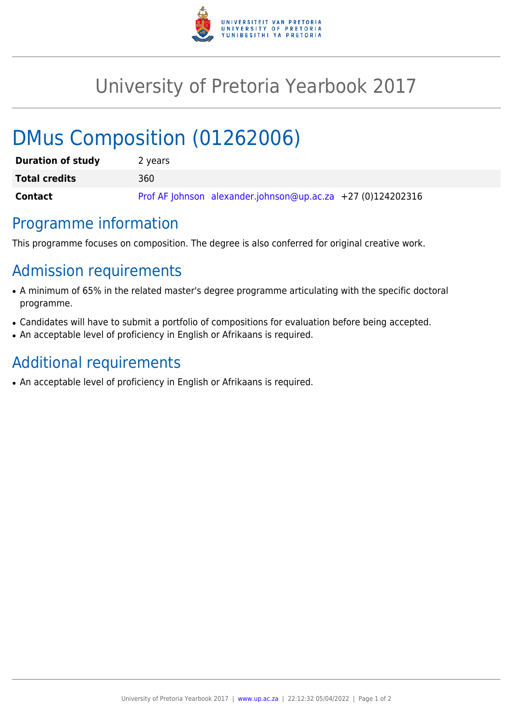

## University of Pretoria Yearbook 2017

# DMus Composition (01262006)

| <b>Duration of study</b> | 2 years                                                       |
|--------------------------|---------------------------------------------------------------|
| <b>Total credits</b>     | 360                                                           |
| Contact                  | Prof AF Johnson alexander.johnson@up.ac.za $+27$ (0)124202316 |

#### Programme information

This programme focuses on composition. The degree is also conferred for original creative work.

#### Admission requirements

- A minimum of 65% in the related master's degree programme articulating with the specific doctoral programme.
- Candidates will have to submit a portfolio of compositions for evaluation before being accepted.
- An acceptable level of proficiency in English or Afrikaans is required.

### Additional requirements

• An acceptable level of proficiency in English or Afrikaans is required.